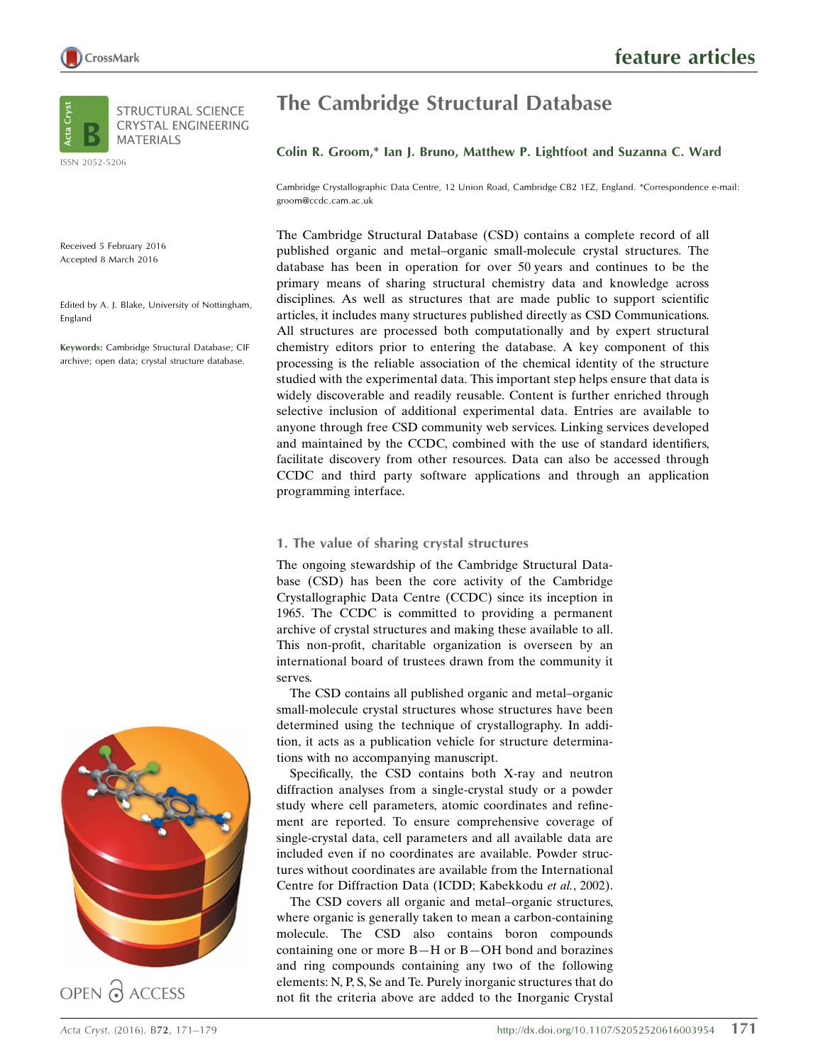

ISSN 2052-5206

Received 5 February 2016 Accepted 8 March 2016

Edited by A. J. Blake, University of Nottingham, England

Keywords: Cambridge Structural Database; CIF archive; open data; crystal structure database.



OPEN & ACCESS

# The Cambridge Structural Database

# Colin R. Groom,\* Ian J. Bruno, Matthew P. Lightfoot and Suzanna C. Ward

Cambridge Crystallographic Data Centre, 12 Union Road, Cambridge CB2 1EZ, England. \*Correspondence e-mail: groom@ccdc.cam.ac.uk

The Cambridge Structural Database (CSD) contains a complete record of all published organic and metal–organic small-molecule crystal structures. The database has been in operation for over 50 years and continues to be the primary means of sharing structural chemistry data and knowledge across disciplines. As well as structures that are made public to support scientific articles, it includes many structures published directly as CSD Communications. All structures are processed both computationally and by expert structural chemistry editors prior to entering the database. A key component of this processing is the reliable association of the chemical identity of the structure studied with the experimental data. This important step helps ensure that data is widely discoverable and readily reusable. Content is further enriched through selective inclusion of additional experimental data. Entries are available to anyone through free CSD community web services. Linking services developed and maintained by the CCDC, combined with the use of standard identifiers, facilitate discovery from other resources. Data can also be accessed through CCDC and third party software applications and through an application programming interface.

# 1. The value of sharing crystal structures

The ongoing stewardship of the Cambridge Structural Database (CSD) has been the core activity of the Cambridge Crystallographic Data Centre (CCDC) since its inception in 1965. The CCDC is committed to providing a permanent archive of crystal structures and making these available to all. This non-profit, charitable organization is overseen by an international board of trustees drawn from the community it serves.

The CSD contains all published organic and metal–organic small-molecule crystal structures whose structures have been determined using the technique of crystallography. In addition, it acts as a publication vehicle for structure determinations with no accompanying manuscript.

Specifically, the CSD contains both X-ray and neutron diffraction analyses from a single-crystal study or a powder study where cell parameters, atomic coordinates and refinement are reported. To ensure comprehensive coverage of single-crystal data, cell parameters and all available data are included even if no coordinates are available. Powder structures without coordinates are available from the International Centre for Diffraction Data (ICDD; Kabekkodu et al., 2002).

The CSD covers all organic and metal–organic structures, where organic is generally taken to mean a carbon-containing molecule. The CSD also contains boron compounds containing one or more B—H or B—OH bond and borazines and ring compounds containing any two of the following elements: N, P, S, Se and Te. Purely inorganic structures that do not fit the criteria above are added to the Inorganic Crystal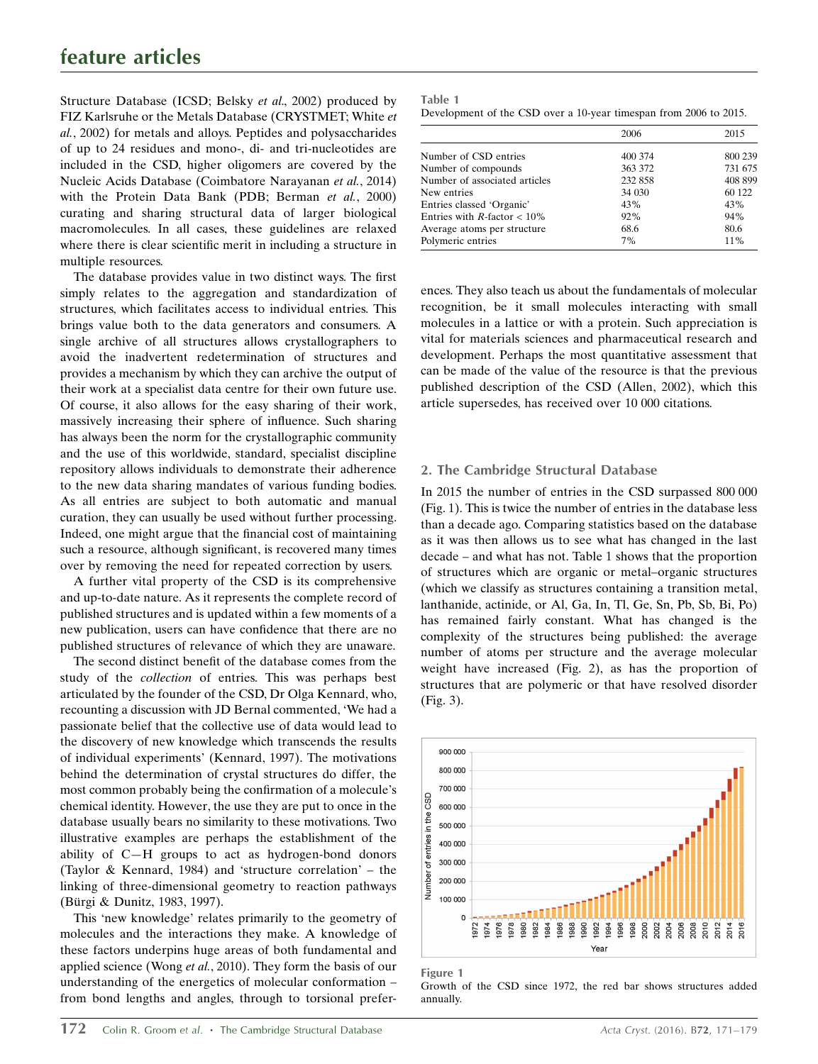Structure Database (ICSD; Belsky et al., 2002) produced by FIZ Karlsruhe or the Metals Database (CRYSTMET; White et al., 2002) for metals and alloys. Peptides and polysaccharides of up to 24 residues and mono-, di- and tri-nucleotides are included in the CSD, higher oligomers are covered by the Nucleic Acids Database (Coimbatore Narayanan et al., 2014) with the Protein Data Bank (PDB; Berman et al., 2000) curating and sharing structural data of larger biological macromolecules. In all cases, these guidelines are relaxed where there is clear scientific merit in including a structure in multiple resources.

The database provides value in two distinct ways. The first simply relates to the aggregation and standardization of structures, which facilitates access to individual entries. This brings value both to the data generators and consumers. A single archive of all structures allows crystallographers to avoid the inadvertent redetermination of structures and provides a mechanism by which they can archive the output of their work at a specialist data centre for their own future use. Of course, it also allows for the easy sharing of their work, massively increasing their sphere of influence. Such sharing has always been the norm for the crystallographic community and the use of this worldwide, standard, specialist discipline repository allows individuals to demonstrate their adherence to the new data sharing mandates of various funding bodies. As all entries are subject to both automatic and manual curation, they can usually be used without further processing. Indeed, one might argue that the financial cost of maintaining such a resource, although significant, is recovered many times over by removing the need for repeated correction by users.

A further vital property of the CSD is its comprehensive and up-to-date nature. As it represents the complete record of published structures and is updated within a few moments of a new publication, users can have confidence that there are no published structures of relevance of which they are unaware.

The second distinct benefit of the database comes from the study of the collection of entries. This was perhaps best articulated by the founder of the CSD, Dr Olga Kennard, who, recounting a discussion with JD Bernal commented, 'We had a passionate belief that the collective use of data would lead to the discovery of new knowledge which transcends the results of individual experiments' (Kennard, 1997). The motivations behind the determination of crystal structures do differ, the most common probably being the confirmation of a molecule's chemical identity. However, the use they are put to once in the database usually bears no similarity to these motivations. Two illustrative examples are perhaps the establishment of the ability of C—H groups to act as hydrogen-bond donors (Taylor & Kennard, 1984) and 'structure correlation' – the linking of three-dimensional geometry to reaction pathways (Bürgi & Dunitz, 1983, 1997).

This 'new knowledge' relates primarily to the geometry of molecules and the interactions they make. A knowledge of these factors underpins huge areas of both fundamental and applied science (Wong et al., 2010). They form the basis of our understanding of the energetics of molecular conformation – from bond lengths and angles, through to torsional prefer-

| Table 1                                                           |  |  |
|-------------------------------------------------------------------|--|--|
| Development of the CSD over a 10-year timespan from 2006 to 2015. |  |  |

|                                | 2006    | 2015    |
|--------------------------------|---------|---------|
| Number of CSD entries          | 400 374 | 800 239 |
| Number of compounds            | 363 372 | 731 675 |
| Number of associated articles  | 232 858 | 408 899 |
| New entries                    | 34 030  | 60 122  |
| Entries classed 'Organic'      | 43%     | 43%     |
| Entries with R-factor $< 10\%$ | 92%     | 94%     |
| Average atoms per structure    | 68.6    | 80.6    |
| Polymeric entries              | 7%      | $11\%$  |

ences. They also teach us about the fundamentals of molecular recognition, be it small molecules interacting with small molecules in a lattice or with a protein. Such appreciation is vital for materials sciences and pharmaceutical research and development. Perhaps the most quantitative assessment that can be made of the value of the resource is that the previous published description of the CSD (Allen, 2002), which this article supersedes, has received over 10 000 citations.

# 2. The Cambridge Structural Database

In 2015 the number of entries in the CSD surpassed 800 000 (Fig. 1). This is twice the number of entries in the database less than a decade ago. Comparing statistics based on the database as it was then allows us to see what has changed in the last decade – and what has not. Table 1 shows that the proportion of structures which are organic or metal–organic structures (which we classify as structures containing a transition metal, lanthanide, actinide, or Al, Ga, In, Tl, Ge, Sn, Pb, Sb, Bi, Po) has remained fairly constant. What has changed is the complexity of the structures being published: the average number of atoms per structure and the average molecular weight have increased (Fig. 2), as has the proportion of structures that are polymeric or that have resolved disorder (Fig. 3).





Growth of the CSD since 1972, the red bar shows structures added annually.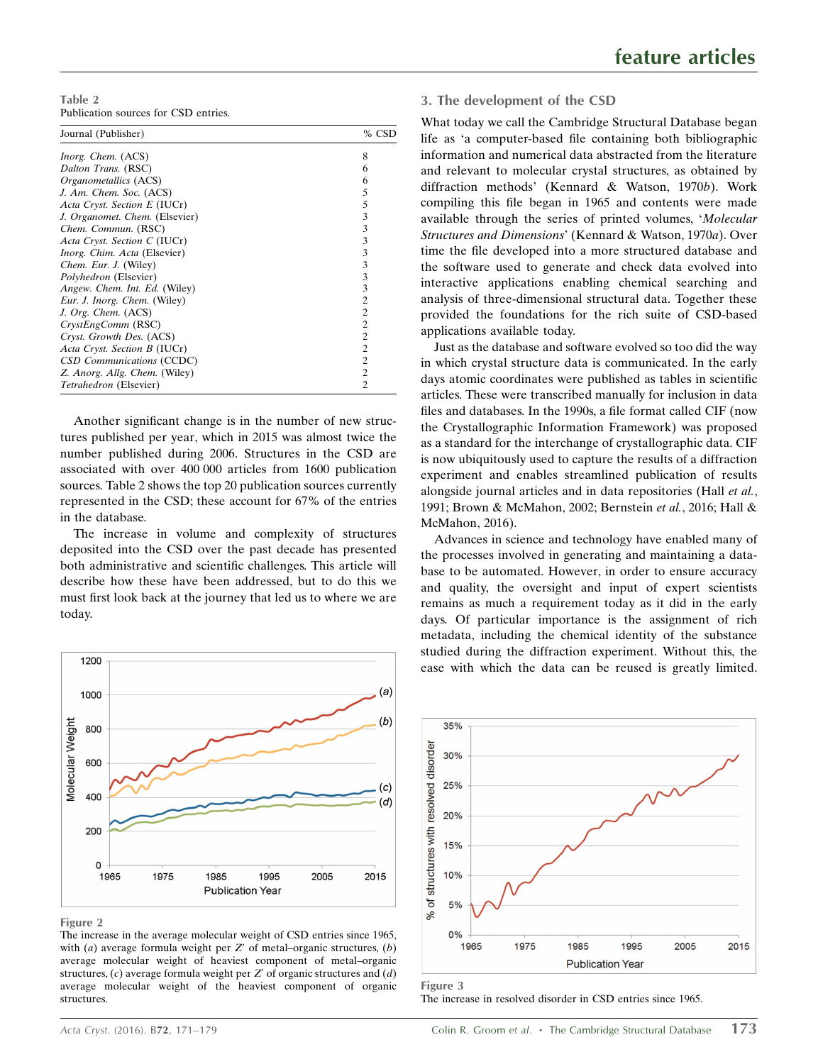Table 2 Publication sources for CSD entries.

| Journal (Publisher)                 | % CSD          |
|-------------------------------------|----------------|
| <i>Inorg. Chem.</i> (ACS)           | 8              |
| Dalton Trans. (RSC)                 | 6              |
| Organometallics (ACS)               | 6              |
| J. Am. Chem. Soc. (ACS)             | 5              |
| Acta Cryst. Section E (IUCr)        | 5              |
| J. Organomet. Chem. (Elsevier)      | 3              |
| Chem. Commun. (RSC)                 | 3              |
| Acta Cryst. Section C (IUCr)        | 3              |
| <i>Inorg. Chim. Acta</i> (Elsevier) | 3              |
| <i>Chem. Eur. J.</i> (Wiley)        | 3              |
| <i>Polyhedron</i> (Elsevier)        | 3              |
| Angew. Chem. Int. Ed. (Wiley)       | 3              |
| Eur. J. Inorg. Chem. (Wiley)        | $\overline{c}$ |
| J. Org. Chem. (ACS)                 | $\overline{c}$ |
| CrystEngComm (RSC)                  | 2              |
| Cryst. Growth Des. (ACS)            | 2              |
| Acta Cryst. Section B (IUCr)        | $\overline{c}$ |
| CSD Communications (CCDC)           | 2              |
| Z. Anorg. Allg. Chem. (Wiley)       | 2              |
| Tetrahedron (Elsevier)              | $\overline{c}$ |

Another significant change is in the number of new structures published per year, which in 2015 was almost twice the number published during 2006. Structures in the CSD are associated with over 400 000 articles from 1600 publication sources. Table 2 shows the top 20 publication sources currently represented in the CSD; these account for 67% of the entries in the database.

The increase in volume and complexity of structures deposited into the CSD over the past decade has presented both administrative and scientific challenges. This article will describe how these have been addressed, but to do this we must first look back at the journey that led us to where we are today.



Figure 2

The increase in the average molecular weight of CSD entries since 1965, with (a) average formula weight per  $Z'$  of metal–organic structures, (b) average molecular weight of heaviest component of metal–organic structures,  $(c)$  average formula weight per  $Z'$  of organic structures and  $(d)$ average molecular weight of the heaviest component of organic structures.

# 3. The development of the CSD

What today we call the Cambridge Structural Database began life as 'a computer-based file containing both bibliographic information and numerical data abstracted from the literature and relevant to molecular crystal structures, as obtained by diffraction methods' (Kennard & Watson, 1970b). Work compiling this file began in 1965 and contents were made available through the series of printed volumes, 'Molecular Structures and Dimensions' (Kennard & Watson, 1970a). Over time the file developed into a more structured database and the software used to generate and check data evolved into interactive applications enabling chemical searching and analysis of three-dimensional structural data. Together these provided the foundations for the rich suite of CSD-based applications available today.

Just as the database and software evolved so too did the way in which crystal structure data is communicated. In the early days atomic coordinates were published as tables in scientific articles. These were transcribed manually for inclusion in data files and databases. In the 1990s, a file format called CIF (now the Crystallographic Information Framework) was proposed as a standard for the interchange of crystallographic data. CIF is now ubiquitously used to capture the results of a diffraction experiment and enables streamlined publication of results alongside journal articles and in data repositories (Hall et al., 1991; Brown & McMahon, 2002; Bernstein et al., 2016; Hall & McMahon, 2016).

Advances in science and technology have enabled many of the processes involved in generating and maintaining a database to be automated. However, in order to ensure accuracy and quality, the oversight and input of expert scientists remains as much a requirement today as it did in the early days. Of particular importance is the assignment of rich metadata, including the chemical identity of the substance studied during the diffraction experiment. Without this, the ease with which the data can be reused is greatly limited.



The increase in resolved disorder in CSD entries since 1965.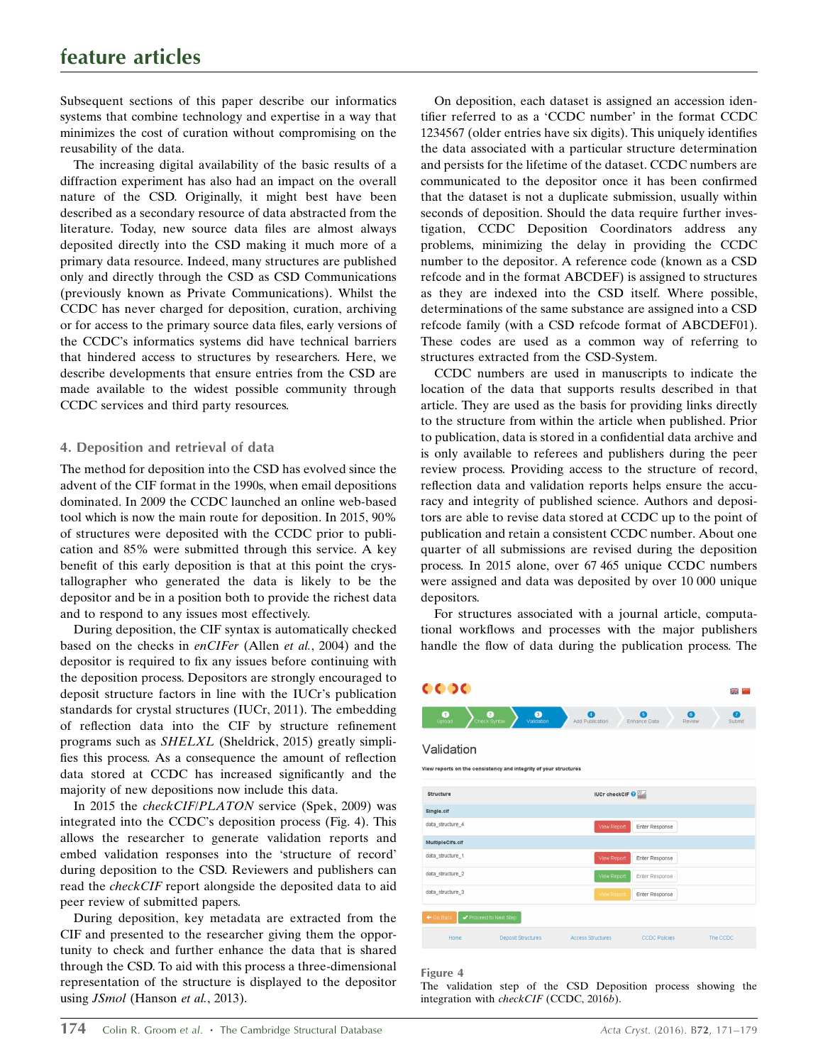Subsequent sections of this paper describe our informatics systems that combine technology and expertise in a way that minimizes the cost of curation without compromising on the reusability of the data.

The increasing digital availability of the basic results of a diffraction experiment has also had an impact on the overall nature of the CSD. Originally, it might best have been described as a secondary resource of data abstracted from the literature. Today, new source data files are almost always deposited directly into the CSD making it much more of a primary data resource. Indeed, many structures are published only and directly through the CSD as CSD Communications (previously known as Private Communications). Whilst the CCDC has never charged for deposition, curation, archiving or for access to the primary source data files, early versions of the CCDC's informatics systems did have technical barriers that hindered access to structures by researchers. Here, we describe developments that ensure entries from the CSD are made available to the widest possible community through CCDC services and third party resources.

# 4. Deposition and retrieval of data

The method for deposition into the CSD has evolved since the advent of the CIF format in the 1990s, when email depositions dominated. In 2009 the CCDC launched an online web-based tool which is now the main route for deposition. In 2015, 90% of structures were deposited with the CCDC prior to publication and 85% were submitted through this service. A key benefit of this early deposition is that at this point the crystallographer who generated the data is likely to be the depositor and be in a position both to provide the richest data and to respond to any issues most effectively.

During deposition, the CIF syntax is automatically checked based on the checks in enCIFer (Allen et al., 2004) and the depositor is required to fix any issues before continuing with the deposition process. Depositors are strongly encouraged to deposit structure factors in line with the IUCr's publication standards for crystal structures (IUCr, 2011). The embedding of reflection data into the CIF by structure refinement programs such as SHELXL (Sheldrick, 2015) greatly simplifies this process. As a consequence the amount of reflection data stored at CCDC has increased significantly and the majority of new depositions now include this data.

In 2015 the checkCIF/PLATON service (Spek, 2009) was integrated into the CCDC's deposition process (Fig. 4). This allows the researcher to generate validation reports and embed validation responses into the 'structure of record' during deposition to the CSD. Reviewers and publishers can read the checkCIF report alongside the deposited data to aid peer review of submitted papers.

During deposition, key metadata are extracted from the CIF and presented to the researcher giving them the opportunity to check and further enhance the data that is shared through the CSD. To aid with this process a three-dimensional representation of the structure is displayed to the depositor using *JSmol* (Hanson et al., 2013).

On deposition, each dataset is assigned an accession identifier referred to as a 'CCDC number' in the format CCDC 1234567 (older entries have six digits). This uniquely identifies the data associated with a particular structure determination and persists for the lifetime of the dataset. CCDC numbers are communicated to the depositor once it has been confirmed that the dataset is not a duplicate submission, usually within seconds of deposition. Should the data require further investigation, CCDC Deposition Coordinators address any problems, minimizing the delay in providing the CCDC number to the depositor. A reference code (known as a CSD refcode and in the format ABCDEF) is assigned to structures as they are indexed into the CSD itself. Where possible, determinations of the same substance are assigned into a CSD refcode family (with a CSD refcode format of ABCDEF01). These codes are used as a common way of referring to structures extracted from the CSD-System.

CCDC numbers are used in manuscripts to indicate the location of the data that supports results described in that article. They are used as the basis for providing links directly to the structure from within the article when published. Prior to publication, data is stored in a confidential data archive and is only available to referees and publishers during the peer review process. Providing access to the structure of record, reflection data and validation reports helps ensure the accuracy and integrity of published science. Authors and depositors are able to revise data stored at CCDC up to the point of publication and retain a consistent CCDC number. About one quarter of all submissions are revised during the deposition process. In 2015 alone, over 67 465 unique CCDC numbers were assigned and data was deposited by over 10 000 unique depositors.

For structures associated with a journal article, computational workflows and processes with the major publishers handle the flow of data during the publication process. The

#### 0000 aa m Add Public  $\mathbf{\Theta}$  $\bullet$  $\bullet$



View reports on the consistency and integrity of your structures



#### Figure 4

The validation step of the CSD Deposition process showing the integration with checkCIF (CCDC, 2016b).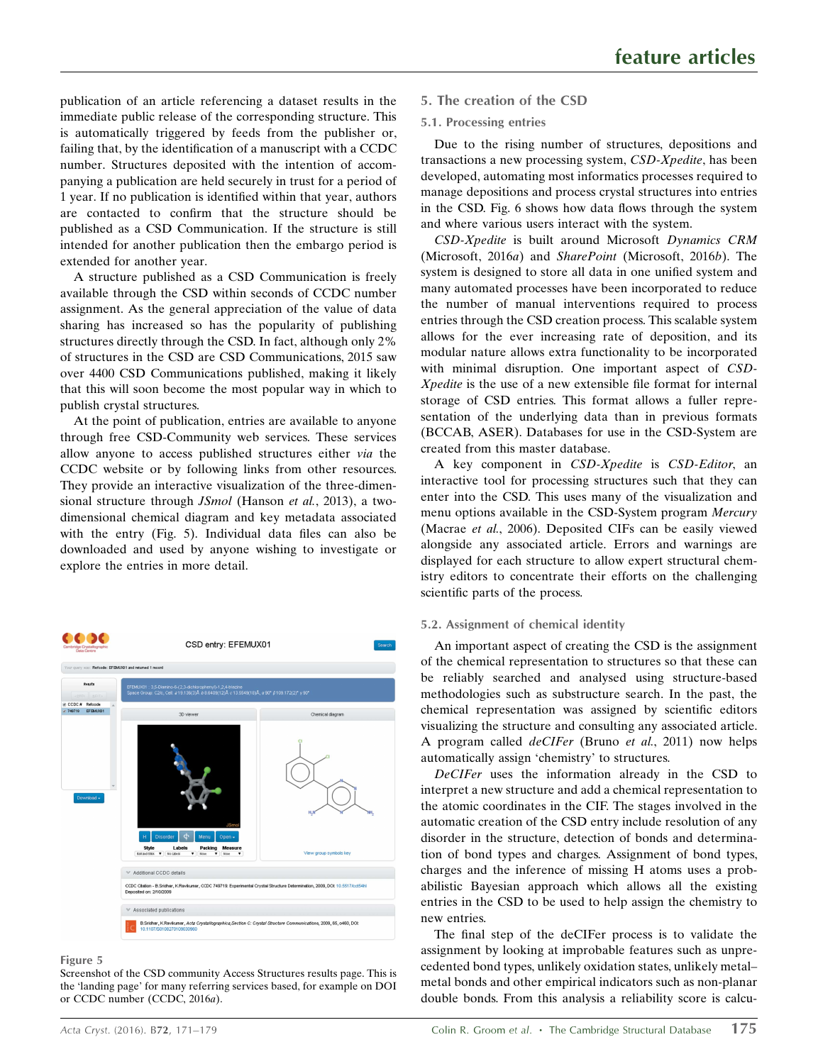publication of an article referencing a dataset results in the immediate public release of the corresponding structure. This is automatically triggered by feeds from the publisher or, failing that, by the identification of a manuscript with a CCDC number. Structures deposited with the intention of accompanying a publication are held securely in trust for a period of 1 year. If no publication is identified within that year, authors are contacted to confirm that the structure should be published as a CSD Communication. If the structure is still intended for another publication then the embargo period is extended for another year.

A structure published as a CSD Communication is freely available through the CSD within seconds of CCDC number assignment. As the general appreciation of the value of data sharing has increased so has the popularity of publishing structures directly through the CSD. In fact, although only 2% of structures in the CSD are CSD Communications, 2015 saw over 4400 CSD Communications published, making it likely that this will soon become the most popular way in which to publish crystal structures.

At the point of publication, entries are available to anyone through free CSD-Community web services. These services allow anyone to access published structures either via the CCDC website or by following links from other resources. They provide an interactive visualization of the three-dimensional structure through JSmol (Hanson et al., 2013), a twodimensional chemical diagram and key metadata associated with the entry (Fig. 5). Individual data files can also be downloaded and used by anyone wishing to investigate or explore the entries in more detail.



#### Figure 5

Screenshot of the CSD community Access Structures results page. This is the 'landing page' for many referring services based, for example on DOI or CCDC number (CCDC, 2016a).

## 5. The creation of the CSD

### 5.1. Processing entries

Due to the rising number of structures, depositions and transactions a new processing system, CSD-Xpedite, has been developed, automating most informatics processes required to manage depositions and process crystal structures into entries in the CSD. Fig. 6 shows how data flows through the system and where various users interact with the system.

CSD-Xpedite is built around Microsoft Dynamics CRM (Microsoft, 2016a) and SharePoint (Microsoft, 2016b). The system is designed to store all data in one unified system and many automated processes have been incorporated to reduce the number of manual interventions required to process entries through the CSD creation process. This scalable system allows for the ever increasing rate of deposition, and its modular nature allows extra functionality to be incorporated with minimal disruption. One important aspect of CSD-Xpedite is the use of a new extensible file format for internal storage of CSD entries. This format allows a fuller representation of the underlying data than in previous formats (BCCAB, ASER). Databases for use in the CSD-System are created from this master database.

A key component in CSD-Xpedite is CSD-Editor, an interactive tool for processing structures such that they can enter into the CSD. This uses many of the visualization and menu options available in the CSD-System program Mercury (Macrae et al., 2006). Deposited CIFs can be easily viewed alongside any associated article. Errors and warnings are displayed for each structure to allow expert structural chemistry editors to concentrate their efforts on the challenging scientific parts of the process.

### 5.2. Assignment of chemical identity

An important aspect of creating the CSD is the assignment of the chemical representation to structures so that these can be reliably searched and analysed using structure-based methodologies such as substructure search. In the past, the chemical representation was assigned by scientific editors visualizing the structure and consulting any associated article. A program called deCIFer (Bruno et al., 2011) now helps automatically assign 'chemistry' to structures.

DeCIFer uses the information already in the CSD to interpret a new structure and add a chemical representation to the atomic coordinates in the CIF. The stages involved in the automatic creation of the CSD entry include resolution of any disorder in the structure, detection of bonds and determination of bond types and charges. Assignment of bond types, charges and the inference of missing H atoms uses a probabilistic Bayesian approach which allows all the existing entries in the CSD to be used to help assign the chemistry to new entries.

The final step of the deCIFer process is to validate the assignment by looking at improbable features such as unprecedented bond types, unlikely oxidation states, unlikely metal– metal bonds and other empirical indicators such as non-planar double bonds. From this analysis a reliability score is calcu-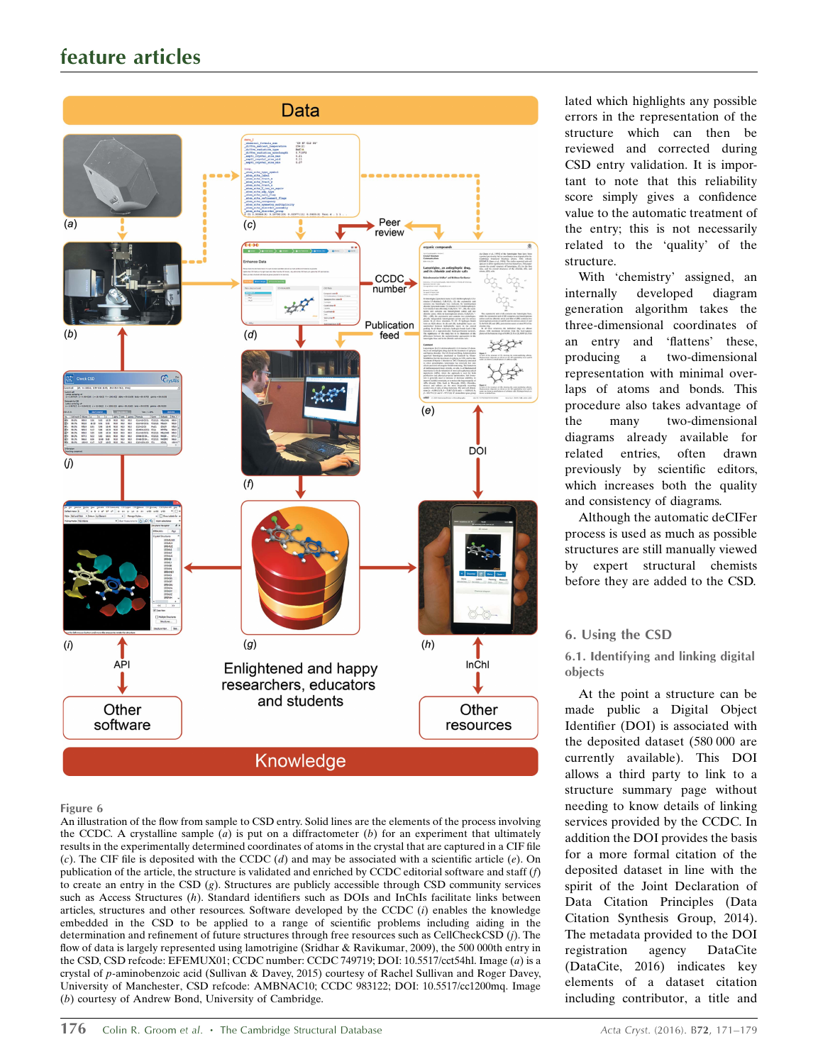# feature articles



# Figure 6

An illustration of the flow from sample to CSD entry. Solid lines are the elements of the process involving the CCDC. A crystalline sample  $(a)$  is put on a diffractometer  $(b)$  for an experiment that ultimately results in the experimentally determined coordinates of atoms in the crystal that are captured in a CIF file (c). The CIF file is deposited with the CCDC  $(d)$  and may be associated with a scientific article  $(e)$ . On publication of the article, the structure is validated and enriched by CCDC editorial software and staff  $(f)$ to create an entry in the CSD  $(g)$ . Structures are publicly accessible through CSD community services such as Access Structures  $(h)$ . Standard identifiers such as DOIs and InChIs facilitate links between articles, structures and other resources. Software developed by the CCDC  $(i)$  enables the knowledge embedded in the CSD to be applied to a range of scientific problems including aiding in the determination and refinement of future structures through free resources such as CellCheckCSD (j). The flow of data is largely represented using lamotrigine (Sridhar & Ravikumar, 2009), the 500 000th entry in the CSD, CSD refcode: EFEMUX01; CCDC number: CCDC 749719; DOI: 10.5517/cct54hl. Image (a) is a crystal of p-aminobenzoic acid (Sullivan & Davey, 2015) courtesy of Rachel Sullivan and Roger Davey, University of Manchester, CSD refcode: AMBNAC10; CCDC 983122; DOI: 10.5517/cc1200mq. Image (b) courtesy of Andrew Bond, University of Cambridge.

lated which highlights any possible errors in the representation of the structure which can then be reviewed and corrected during CSD entry validation. It is important to note that this reliability score simply gives a confidence value to the automatic treatment of the entry; this is not necessarily related to the 'quality' of the structure.

With 'chemistry' assigned, an internally developed diagram generation algorithm takes the three-dimensional coordinates of an entry and 'flattens' these, producing a two-dimensional representation with minimal overlaps of atoms and bonds. This procedure also takes advantage of the many two-dimensional diagrams already available for related entries, often drawn previously by scientific editors, which increases both the quality and consistency of diagrams.

Although the automatic deCIFer process is used as much as possible structures are still manually viewed by expert structural chemists before they are added to the CSD.

# 6. Using the CSD

6.1. Identifying and linking digital objects

At the point a structure can be made public a Digital Object Identifier (DOI) is associated with the deposited dataset (580 000 are currently available). This DOI allows a third party to link to a structure summary page without needing to know details of linking services provided by the CCDC. In addition the DOI provides the basis for a more formal citation of the deposited dataset in line with the spirit of the Joint Declaration of Data Citation Principles (Data Citation Synthesis Group, 2014). The metadata provided to the DOI registration agency DataCite (DataCite, 2016) indicates key elements of a dataset citation including contributor, a title and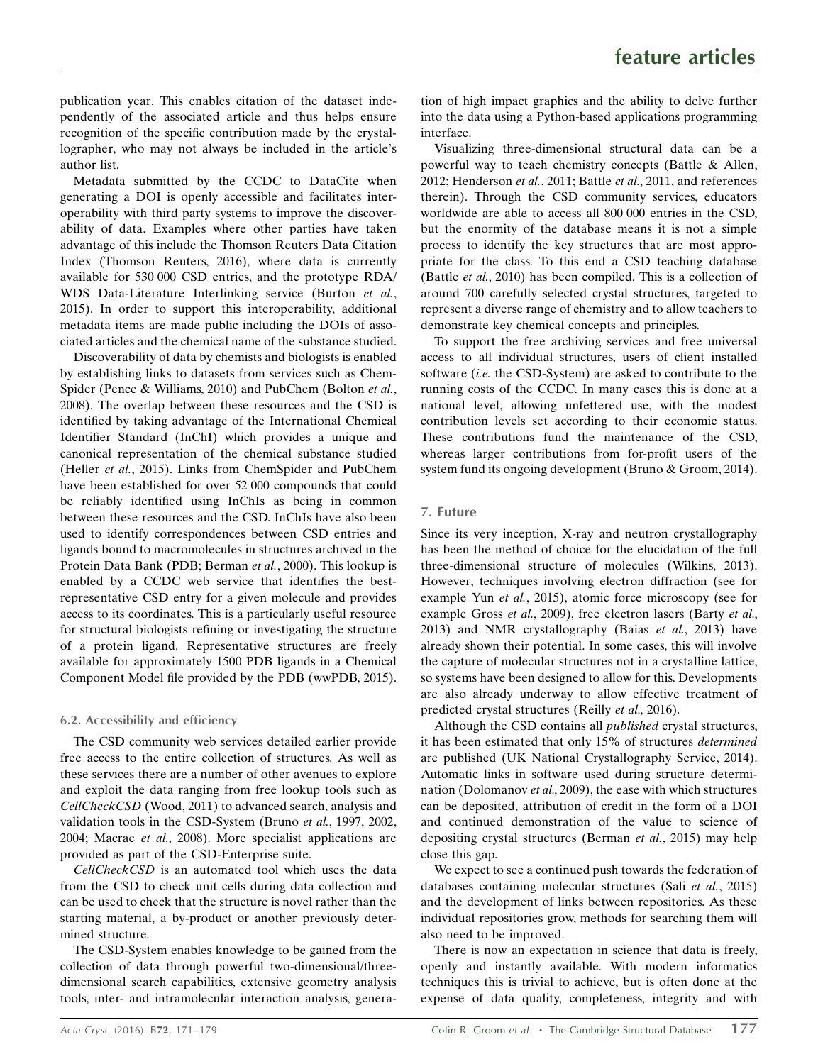publication year. This enables citation of the dataset independently of the associated article and thus helps ensure recognition of the specific contribution made by the crystallographer, who may not always be included in the article's author list.

Metadata submitted by the CCDC to DataCite when generating a DOI is openly accessible and facilitates interoperability with third party systems to improve the discoverability of data. Examples where other parties have taken advantage of this include the Thomson Reuters Data Citation Index (Thomson Reuters, 2016), where data is currently available for 530 000 CSD entries, and the prototype RDA/ WDS Data-Literature Interlinking service (Burton et al., 2015). In order to support this interoperability, additional metadata items are made public including the DOIs of associated articles and the chemical name of the substance studied.

Discoverability of data by chemists and biologists is enabled by establishing links to datasets from services such as Chem-Spider (Pence & Williams, 2010) and PubChem (Bolton *et al.*, 2008). The overlap between these resources and the CSD is identified by taking advantage of the International Chemical Identifier Standard (InChI) which provides a unique and canonical representation of the chemical substance studied (Heller et al., 2015). Links from ChemSpider and PubChem have been established for over 52 000 compounds that could be reliably identified using InChIs as being in common between these resources and the CSD. InChIs have also been used to identify correspondences between CSD entries and ligands bound to macromolecules in structures archived in the Protein Data Bank (PDB; Berman et al., 2000). This lookup is enabled by a CCDC web service that identifies the bestrepresentative CSD entry for a given molecule and provides access to its coordinates. This is a particularly useful resource for structural biologists refining or investigating the structure of a protein ligand. Representative structures are freely available for approximately 1500 PDB ligands in a Chemical Component Model file provided by the PDB (wwPDB, 2015).

#### 6.2. Accessibility and efficiency

The CSD community web services detailed earlier provide free access to the entire collection of structures. As well as these services there are a number of other avenues to explore and exploit the data ranging from free lookup tools such as CellCheckCSD (Wood, 2011) to advanced search, analysis and validation tools in the CSD-System (Bruno et al., 1997, 2002, 2004; Macrae et al., 2008). More specialist applications are provided as part of the CSD-Enterprise suite.

CellCheckCSD is an automated tool which uses the data from the CSD to check unit cells during data collection and can be used to check that the structure is novel rather than the starting material, a by-product or another previously determined structure.

The CSD-System enables knowledge to be gained from the collection of data through powerful two-dimensional/threedimensional search capabilities, extensive geometry analysis tools, inter- and intramolecular interaction analysis, generation of high impact graphics and the ability to delve further into the data using a Python-based applications programming interface.

Visualizing three-dimensional structural data can be a powerful way to teach chemistry concepts (Battle & Allen, 2012; Henderson et al., 2011; Battle et al., 2011, and references therein). Through the CSD community services, educators worldwide are able to access all 800 000 entries in the CSD, but the enormity of the database means it is not a simple process to identify the key structures that are most appropriate for the class. To this end a CSD teaching database (Battle et al., 2010) has been compiled. This is a collection of around 700 carefully selected crystal structures, targeted to represent a diverse range of chemistry and to allow teachers to demonstrate key chemical concepts and principles.

To support the free archiving services and free universal access to all individual structures, users of client installed software (i.e. the CSD-System) are asked to contribute to the running costs of the CCDC. In many cases this is done at a national level, allowing unfettered use, with the modest contribution levels set according to their economic status. These contributions fund the maintenance of the CSD, whereas larger contributions from for-profit users of the system fund its ongoing development (Bruno & Groom, 2014).

# 7. Future

Since its very inception, X-ray and neutron crystallography has been the method of choice for the elucidation of the full three-dimensional structure of molecules (Wilkins, 2013). However, techniques involving electron diffraction (see for example Yun et al., 2015), atomic force microscopy (see for example Gross et al., 2009), free electron lasers (Barty et al., 2013) and NMR crystallography (Baias et al., 2013) have already shown their potential. In some cases, this will involve the capture of molecular structures not in a crystalline lattice, so systems have been designed to allow for this. Developments are also already underway to allow effective treatment of predicted crystal structures (Reilly et al., 2016).

Although the CSD contains all published crystal structures, it has been estimated that only 15% of structures determined are published (UK National Crystallography Service, 2014). Automatic links in software used during structure determination (Dolomanov et al., 2009), the ease with which structures can be deposited, attribution of credit in the form of a DOI and continued demonstration of the value to science of depositing crystal structures (Berman et al., 2015) may help close this gap.

We expect to see a continued push towards the federation of databases containing molecular structures (Sali et al., 2015) and the development of links between repositories. As these individual repositories grow, methods for searching them will also need to be improved.

There is now an expectation in science that data is freely, openly and instantly available. With modern informatics techniques this is trivial to achieve, but is often done at the expense of data quality, completeness, integrity and with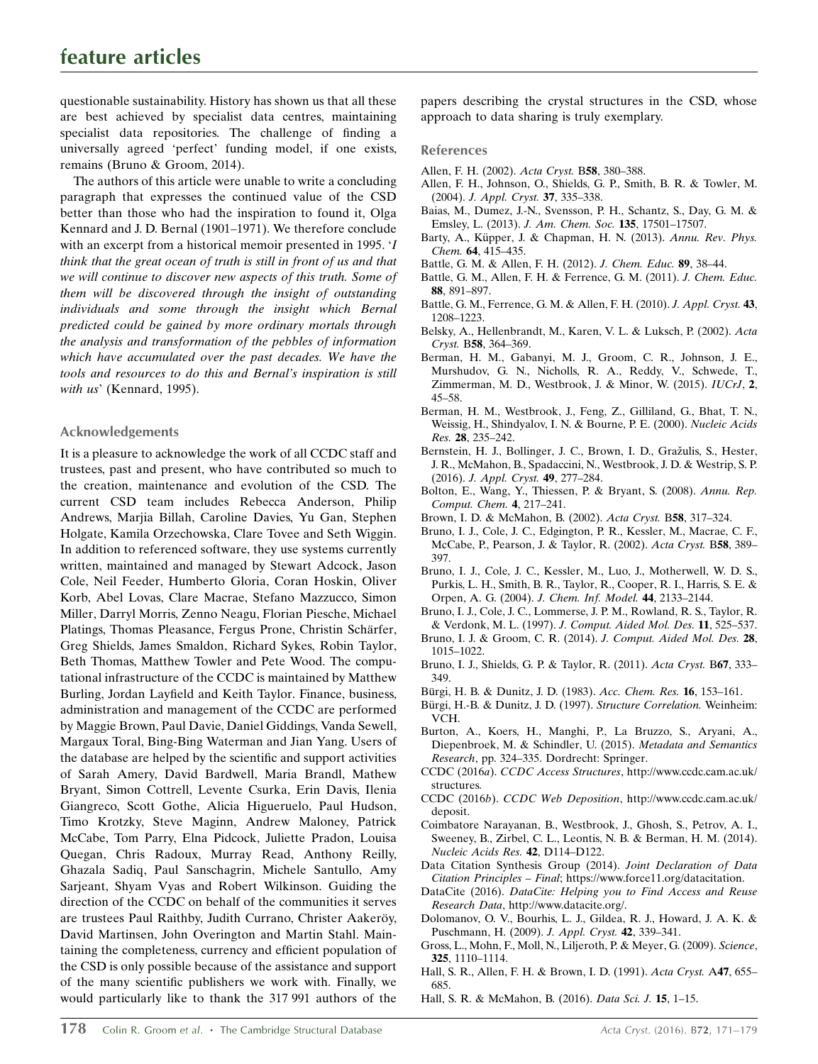questionable sustainability. History has shown us that all these are best achieved by specialist data centres, maintaining specialist data repositories. The challenge of finding a universally agreed 'perfect' funding model, if one exists, remains (Bruno & Groom, 2014).

The authors of this article were unable to write a concluding paragraph that expresses the continued value of the CSD better than those who had the inspiration to found it, Olga Kennard and J. D. Bernal (1901–1971). We therefore conclude with an excerpt from a historical memoir presented in 1995. 'I think that the great ocean of truth is still in front of us and that we will continue to discover new aspects of this truth. Some of them will be discovered through the insight of outstanding individuals and some through the insight which Bernal predicted could be gained by more ordinary mortals through the analysis and transformation of the pebbles of information which have accumulated over the past decades. We have the tools and resources to do this and Bernal's inspiration is still with us' (Kennard, 1995).

# Acknowledgements

It is a pleasure to acknowledge the work of all CCDC staff and trustees, past and present, who have contributed so much to the creation, maintenance and evolution of the CSD. The current CSD team includes Rebecca Anderson, Philip Andrews, Marjia Billah, Caroline Davies, Yu Gan, Stephen Holgate, Kamila Orzechowska, Clare Tovee and Seth Wiggin. In addition to referenced software, they use systems currently written, maintained and managed by Stewart Adcock, Jason Cole, Neil Feeder, Humberto Gloria, Coran Hoskin, Oliver Korb, Abel Lovas, Clare Macrae, Stefano Mazzucco, Simon Miller, Darryl Morris, Zenno Neagu, Florian Piesche, Michael Platings, Thomas Pleasance, Fergus Prone, Christin Schärfer, Greg Shields, James Smaldon, Richard Sykes, Robin Taylor, Beth Thomas, Matthew Towler and Pete Wood. The computational infrastructure of the CCDC is maintained by Matthew Burling, Jordan Layfield and Keith Taylor. Finance, business, administration and management of the CCDC are performed by Maggie Brown, Paul Davie, Daniel Giddings, Vanda Sewell, Margaux Toral, Bing-Bing Waterman and Jian Yang. Users of the database are helped by the scientific and support activities of Sarah Amery, David Bardwell, Maria Brandl, Mathew Bryant, Simon Cottrell, Levente Csurka, Erin Davis, Ilenia Giangreco, Scott Gothe, Alicia Higueruelo, Paul Hudson, Timo Krotzky, Steve Maginn, Andrew Maloney, Patrick McCabe, Tom Parry, Elna Pidcock, Juliette Pradon, Louisa Quegan, Chris Radoux, Murray Read, Anthony Reilly, Ghazala Sadiq, Paul Sanschagrin, Michele Santullo, Amy Sarjeant, Shyam Vyas and Robert Wilkinson. Guiding the direction of the CCDC on behalf of the communities it serves are trustees Paul Raithby, Judith Currano, Christer Aakeröy, David Martinsen, John Overington and Martin Stahl. Maintaining the completeness, currency and efficient population of the CSD is only possible because of the assistance and support of the many scientific publishers we work with. Finally, we would particularly like to thank the 317 991 authors of the papers describing the crystal structures in the CSD, whose approach to data sharing is truly exemplary.

### References

- [Allen, F. H. \(2002\).](http://scripts.iucr.org/cgi-bin/cr.cgi?rm=pdfbb&cnor=bm5086&bbid=BB1) Acta Cryst. B58, 380–388.
- [Allen, F. H., Johnson, O., Shields, G. P., Smith, B. R. & Towler, M.](http://scripts.iucr.org/cgi-bin/cr.cgi?rm=pdfbb&cnor=bm5086&bbid=BB2) (2004). [J. Appl. Cryst.](http://scripts.iucr.org/cgi-bin/cr.cgi?rm=pdfbb&cnor=bm5086&bbid=BB2) 37, 335–338.
- [Baias, M., Dumez, J.-N., Svensson, P. H., Schantz, S., Day, G. M. &](http://scripts.iucr.org/cgi-bin/cr.cgi?rm=pdfbb&cnor=bm5086&bbid=BB3) Emsley, L. (2013). [J. Am. Chem. Soc.](http://scripts.iucr.org/cgi-bin/cr.cgi?rm=pdfbb&cnor=bm5086&bbid=BB3) 135, 17501–17507.
- Barty, A., Küpper, J. & Chapman, H. N. (2013). Annu. Rev. Phys. Chem. 64[, 415–435.](http://scripts.iucr.org/cgi-bin/cr.cgi?rm=pdfbb&cnor=bm5086&bbid=BB4)
- [Battle, G. M. & Allen, F. H. \(2012\).](http://scripts.iucr.org/cgi-bin/cr.cgi?rm=pdfbb&cnor=bm5086&bbid=BB5) J. Chem. Educ. 89, 38–44.
- [Battle, G. M., Allen, F. H. & Ferrence, G. M. \(2011\).](http://scripts.iucr.org/cgi-bin/cr.cgi?rm=pdfbb&cnor=bm5086&bbid=BB6) J. Chem. Educ. 88[, 891–897.](http://scripts.iucr.org/cgi-bin/cr.cgi?rm=pdfbb&cnor=bm5086&bbid=BB6)
- [Battle, G. M., Ferrence, G. M. & Allen, F. H. \(2010\).](http://scripts.iucr.org/cgi-bin/cr.cgi?rm=pdfbb&cnor=bm5086&bbid=BB7) J. Appl. Cryst. 43, [1208–1223.](http://scripts.iucr.org/cgi-bin/cr.cgi?rm=pdfbb&cnor=bm5086&bbid=BB7)
- [Belsky, A., Hellenbrandt, M., Karen, V. L. & Luksch, P. \(2002\).](http://scripts.iucr.org/cgi-bin/cr.cgi?rm=pdfbb&cnor=bm5086&bbid=BB8) Acta Cryst. B58[, 364–369.](http://scripts.iucr.org/cgi-bin/cr.cgi?rm=pdfbb&cnor=bm5086&bbid=BB8)
- [Berman, H. M., Gabanyi, M. J., Groom, C. R., Johnson, J. E.,](http://scripts.iucr.org/cgi-bin/cr.cgi?rm=pdfbb&cnor=bm5086&bbid=BB9) [Murshudov, G. N., Nicholls, R. A., Reddy, V., Schwede, T.,](http://scripts.iucr.org/cgi-bin/cr.cgi?rm=pdfbb&cnor=bm5086&bbid=BB9) [Zimmerman, M. D., Westbrook, J. & Minor, W. \(2015\).](http://scripts.iucr.org/cgi-bin/cr.cgi?rm=pdfbb&cnor=bm5086&bbid=BB9) IUCrJ, 2, [45–58.](http://scripts.iucr.org/cgi-bin/cr.cgi?rm=pdfbb&cnor=bm5086&bbid=BB9)
- [Berman, H. M., Westbrook, J., Feng, Z., Gilliland, G., Bhat, T. N.,](http://scripts.iucr.org/cgi-bin/cr.cgi?rm=pdfbb&cnor=bm5086&bbid=BB10) [Weissig, H., Shindyalov, I. N. & Bourne, P. E. \(2000\).](http://scripts.iucr.org/cgi-bin/cr.cgi?rm=pdfbb&cnor=bm5086&bbid=BB10) Nucleic Acids Res. 28[, 235–242.](http://scripts.iucr.org/cgi-bin/cr.cgi?rm=pdfbb&cnor=bm5086&bbid=BB10)
- Bernstein, H. J., Bollinger, J. C., Brown, I. D., Gražulis, S., Hester, [J. R., McMahon, B., Spadaccini, N., Westbrook, J. D. & Westrip, S. P.](http://scripts.iucr.org/cgi-bin/cr.cgi?rm=pdfbb&cnor=bm5086&bbid=BB11) (2016). [J. Appl. Cryst.](http://scripts.iucr.org/cgi-bin/cr.cgi?rm=pdfbb&cnor=bm5086&bbid=BB11) 49, 277–284.
- [Bolton, E., Wang, Y., Thiessen, P. & Bryant, S. \(2008\).](http://scripts.iucr.org/cgi-bin/cr.cgi?rm=pdfbb&cnor=bm5086&bbid=BB12) Annu. Rep. [Comput. Chem.](http://scripts.iucr.org/cgi-bin/cr.cgi?rm=pdfbb&cnor=bm5086&bbid=BB12) 4, 217–241.
- [Brown, I. D. & McMahon, B. \(2002\).](http://scripts.iucr.org/cgi-bin/cr.cgi?rm=pdfbb&cnor=bm5086&bbid=BB13) Acta Cryst. B58, 317–324.
- [Bruno, I. J., Cole, J. C., Edgington, P. R., Kessler, M., Macrae, C. F.,](http://scripts.iucr.org/cgi-bin/cr.cgi?rm=pdfbb&cnor=bm5086&bbid=BB14) [McCabe, P., Pearson, J. & Taylor, R. \(2002\).](http://scripts.iucr.org/cgi-bin/cr.cgi?rm=pdfbb&cnor=bm5086&bbid=BB14) Acta Cryst. B58, 389– [397.](http://scripts.iucr.org/cgi-bin/cr.cgi?rm=pdfbb&cnor=bm5086&bbid=BB14)
- [Bruno, I. J., Cole, J. C., Kessler, M., Luo, J., Motherwell, W. D. S.,](http://scripts.iucr.org/cgi-bin/cr.cgi?rm=pdfbb&cnor=bm5086&bbid=BB15) [Purkis, L. H., Smith, B. R., Taylor, R., Cooper, R. I., Harris, S. E. &](http://scripts.iucr.org/cgi-bin/cr.cgi?rm=pdfbb&cnor=bm5086&bbid=BB15) [Orpen, A. G. \(2004\).](http://scripts.iucr.org/cgi-bin/cr.cgi?rm=pdfbb&cnor=bm5086&bbid=BB15) J. Chem. Inf. Model. 44, 2133–2144.
- [Bruno, I. J., Cole, J. C., Lommerse, J. P. M., Rowland, R. S., Taylor, R.](http://scripts.iucr.org/cgi-bin/cr.cgi?rm=pdfbb&cnor=bm5086&bbid=BB16) & Verdonk, M. L. (1997). [J. Comput. Aided Mol. Des.](http://scripts.iucr.org/cgi-bin/cr.cgi?rm=pdfbb&cnor=bm5086&bbid=BB16) 11, 525–537.
- [Bruno, I. J. & Groom, C. R. \(2014\).](http://scripts.iucr.org/cgi-bin/cr.cgi?rm=pdfbb&cnor=bm5086&bbid=BB17) J. Comput. Aided Mol. Des. 28, [1015–1022.](http://scripts.iucr.org/cgi-bin/cr.cgi?rm=pdfbb&cnor=bm5086&bbid=BB17)
- [Bruno, I. J., Shields, G. P. & Taylor, R. \(2011\).](http://scripts.iucr.org/cgi-bin/cr.cgi?rm=pdfbb&cnor=bm5086&bbid=BB18) Acta Cryst. B67, 333– [349.](http://scripts.iucr.org/cgi-bin/cr.cgi?rm=pdfbb&cnor=bm5086&bbid=BB18)
- Bürgi, H. B. & Dunitz, J. D. (1983). Acc. Chem. Res. 16, 153-161.
- Bürgi, H.-B. & Dunitz, J. D. (1997). Structure Correlation. Weinheim: [VCH.](http://scripts.iucr.org/cgi-bin/cr.cgi?rm=pdfbb&cnor=bm5086&bbid=BB20)
- [Burton, A., Koers, H., Manghi, P., La Bruzzo, S., Aryani, A.,](http://scripts.iucr.org/cgi-bin/cr.cgi?rm=pdfbb&cnor=bm5086&bbid=BB21) [Diepenbroek, M. & Schindler, U. \(2015\).](http://scripts.iucr.org/cgi-bin/cr.cgi?rm=pdfbb&cnor=bm5086&bbid=BB21) Metadata and Semantics Research[, pp. 324–335. Dordrecht: Springer.](http://scripts.iucr.org/cgi-bin/cr.cgi?rm=pdfbb&cnor=bm5086&bbid=BB21)
- CCDC (2016a). CCDC Access Structures[, http://www.ccdc.cam.ac.uk/](http://scripts.iucr.org/cgi-bin/cr.cgi?rm=pdfbb&cnor=bm5086&bbid=BB22) [structures.](http://scripts.iucr.org/cgi-bin/cr.cgi?rm=pdfbb&cnor=bm5086&bbid=BB22)
- CCDC (2016b). CCDC Web Deposition[, http://www.ccdc.cam.ac.uk/](http://scripts.iucr.org/cgi-bin/cr.cgi?rm=pdfbb&cnor=bm5086&bbid=BB23) [deposit.](http://scripts.iucr.org/cgi-bin/cr.cgi?rm=pdfbb&cnor=bm5086&bbid=BB23)
- [Coimbatore Narayanan, B., Westbrook, J., Ghosh, S., Petrov, A. I.,](http://scripts.iucr.org/cgi-bin/cr.cgi?rm=pdfbb&cnor=bm5086&bbid=BB24) [Sweeney, B., Zirbel, C. L., Leontis, N. B. & Berman, H. M. \(2014\).](http://scripts.iucr.org/cgi-bin/cr.cgi?rm=pdfbb&cnor=bm5086&bbid=BB24) [Nucleic Acids Res.](http://scripts.iucr.org/cgi-bin/cr.cgi?rm=pdfbb&cnor=bm5086&bbid=BB24) 42, D114–D122.
- [Data Citation Synthesis Group \(2014\).](http://scripts.iucr.org/cgi-bin/cr.cgi?rm=pdfbb&cnor=bm5086&bbid=BB25) Joint Declaration of Data Citation Principles – Final[; https://www.force11.org/datacitation.](http://scripts.iucr.org/cgi-bin/cr.cgi?rm=pdfbb&cnor=bm5086&bbid=BB25)
- DataCite (2016). [DataCite: Helping you to Find Access and Reuse](http://scripts.iucr.org/cgi-bin/cr.cgi?rm=pdfbb&cnor=bm5086&bbid=BB26) Research Data[, http://www.datacite.org/.](http://scripts.iucr.org/cgi-bin/cr.cgi?rm=pdfbb&cnor=bm5086&bbid=BB26)
- [Dolomanov, O. V., Bourhis, L. J., Gildea, R. J., Howard, J. A. K. &](http://scripts.iucr.org/cgi-bin/cr.cgi?rm=pdfbb&cnor=bm5086&bbid=BB27) [Puschmann, H. \(2009\).](http://scripts.iucr.org/cgi-bin/cr.cgi?rm=pdfbb&cnor=bm5086&bbid=BB27) J. Appl. Cryst. 42, 339–341.
- [Gross, L., Mohn, F., Moll, N., Liljeroth, P. & Meyer, G. \(2009\).](http://scripts.iucr.org/cgi-bin/cr.cgi?rm=pdfbb&cnor=bm5086&bbid=BB28) Science, 325[, 1110–1114.](http://scripts.iucr.org/cgi-bin/cr.cgi?rm=pdfbb&cnor=bm5086&bbid=BB28)
- [Hall, S. R., Allen, F. H. & Brown, I. D. \(1991\).](http://scripts.iucr.org/cgi-bin/cr.cgi?rm=pdfbb&cnor=bm5086&bbid=BB29) Acta Cryst. A47, 655– [685.](http://scripts.iucr.org/cgi-bin/cr.cgi?rm=pdfbb&cnor=bm5086&bbid=BB29)
- [Hall, S. R. & McMahon, B. \(2016\).](http://scripts.iucr.org/cgi-bin/cr.cgi?rm=pdfbb&cnor=bm5086&bbid=BB30) Data Sci. J. 15, 1–15.